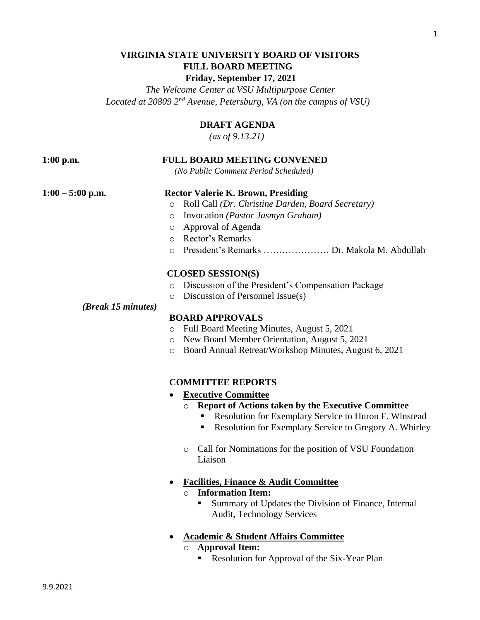# **VIRGINIA STATE UNIVERSITY BOARD OF VISITORS FULL BOARD MEETING Friday, September 17, 2021**

 *The Welcome Center at VSU Multipurpose Center Located at 20809 2nd Avenue, Petersburg, VA (on the campus of VSU)*

# **DRAFT AGENDA**

 *(as of 9.13.21)*

# **1:00 p.m***.* **FULL BOARD MEETING CONVENED**

 *(No Public Comment Period Scheduled)*

## **1:00 – 5:00 p.m. Rector Valerie K. Brown, Presiding**

- o Roll Call *(Dr. Christine Darden, Board Secretary)*
- o Invocation *(Pastor Jasmyn Graham)*
- o Approval of Agenda
- o Rector's Remarks
- o President's Remarks ………………… Dr. Makola M. Abdullah

#### **CLOSED SESSION(S)**

- o Discussion of the President's Compensation Package
- o Discussion of Personnel Issue(s)

#### *(Break 15 minutes)*

## **BOARD APPROVALS**

- o Full Board Meeting Minutes, August 5, 2021
- o New Board Member Orientation, August 5, 2021
- o Board Annual Retreat/Workshop Minutes, August 6, 2021

## **COMMITTEE REPORTS**

- **Executive Committee**
	- o **Report of Actions taken by the Executive Committee**
		- Resolution for Exemplary Service to Huron F. Winstead
		- Resolution for Exemplary Service to Gregory A. Whirley
	- o Call for Nominations for the position of VSU Foundation Liaison
- **Facilities, Finance & Audit Committee** o **Information Item:**
	- Summary of Updates the Division of Finance, Internal Audit, Technology Services
- **Academic & Student Affairs Committee**
	- o **Approval Item:**
		- Resolution for Approval of the Six-Year Plan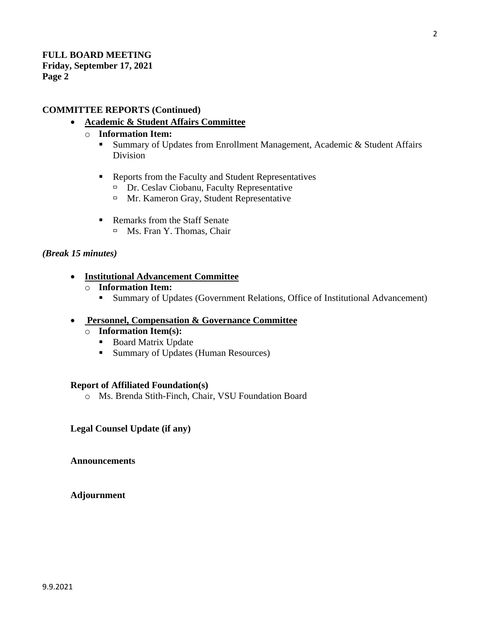# **COMMITTEE REPORTS (Continued)**

# • **Academic & Student Affairs Committee**

- o **Information Item:**
	- Summary of Updates from Enrollment Management, Academic & Student Affairs Division
	- Reports from the Faculty and Student Representatives
		- $\Box$  Dr. Ceslav Ciobanu, Faculty Representative
		- $\Box$  Mr. Kameron Gray, Student Representative
	- Remarks from the Staff Senate □ Ms. Fran Y. Thomas, Chair

# *(Break 15 minutes)*

- **Institutional Advancement Committee**
	- o **Information Item:**
		- Summary of Updates (Government Relations, Office of Institutional Advancement)

# • **Personnel, Compensation & Governance Committee**

- o **Information Item(s):** 
	- Board Matrix Update
	- Summary of Updates (Human Resources)

# **Report of Affiliated Foundation(s)**

o Ms. Brenda Stith-Finch, Chair, VSU Foundation Board

# **Legal Counsel Update (if any)**

**Announcements** 

**Adjournment**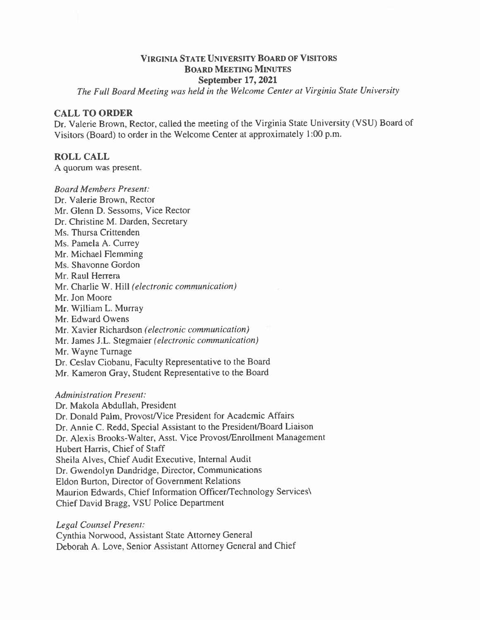# **VIRGINIA STATE UNIVERSITY BOARD OF VISITORS BOARD MEETING MINUTES** September 17, 2021

The Full Board Meeting was held in the Welcome Center at Virginia State University

# **CALL TO ORDER**

Dr. Valerie Brown, Rector, called the meeting of the Virginia State University (VSU) Board of Visitors (Board) to order in the Welcome Center at approximately 1:00 p.m.

# **ROLL CALL**

A quorum was present.

**Board Members Present:** 

Dr. Valerie Brown, Rector Mr. Glenn D. Sessoms, Vice Rector Dr. Christine M. Darden, Secretary Ms. Thursa Crittenden Ms. Pamela A. Currey Mr. Michael Flemming Ms. Shavonne Gordon Mr. Raul Herrera Mr. Charlie W. Hill (electronic communication) Mr. Jon Moore Mr. William L. Murray Mr. Edward Owens Mr. Xavier Richardson (electronic communication) Mr. James J.L. Stegmaier (electronic communication) Mr. Wayne Turnage Dr. Ceslav Ciobanu, Faculty Representative to the Board Mr. Kameron Gray, Student Representative to the Board

# **Administration Present:**

Dr. Makola Abdullah. President Dr. Donald Palm, Provost/Vice President for Academic Affairs Dr. Annie C. Redd, Special Assistant to the President/Board Liaison Dr. Alexis Brooks-Walter, Asst. Vice Provost/Enrollment Management Hubert Harris, Chief of Staff Sheila Alves, Chief Audit Executive, Internal Audit Dr. Gwendolyn Dandridge, Director, Communications Eldon Burton, Director of Government Relations Maurion Edwards, Chief Information Officer/Technology Services\ Chief David Bragg, VSU Police Department

Legal Counsel Present:

Cynthia Norwood, Assistant State Attorney General Deborah A. Love, Senior Assistant Attorney General and Chief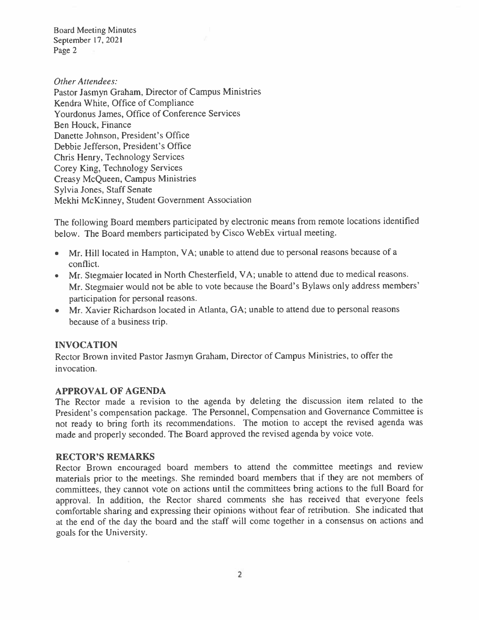Other Attendees: Pastor Jasmyn Graham, Director of Campus Ministries Kendra White, Office of Compliance **Yourdonus James, Office of Conference Services** Ben Houck, Finance Danette Johnson, President's Office Debbie Jefferson, President's Office Chris Henry, Technology Services Corey King, Technology Services Creasy McQueen, Campus Ministries Sylvia Jones, Staff Senate Mekhi McKinney, Student Government Association

The following Board members participated by electronic means from remote locations identified below. The Board members participated by Cisco WebEx virtual meeting.

- Mr. Hill located in Hampton, VA; unable to attend due to personal reasons because of a  $\bullet$ conflict.
- Mr. Stegmaier located in North Chesterfield, VA; unable to attend due to medical reasons. Mr. Stegmaier would not be able to vote because the Board's Bylaws only address members' participation for personal reasons.
- Mr. Xavier Richardson located in Atlanta, GA; unable to attend due to personal reasons because of a business trip.

# **INVOCATION**

Rector Brown invited Pastor Jasmyn Graham, Director of Campus Ministries, to offer the invocation.

# **APPROVAL OF AGENDA**

The Rector made a revision to the agenda by deleting the discussion item related to the President's compensation package. The Personnel, Compensation and Governance Committee is not ready to bring forth its recommendations. The motion to accept the revised agenda was made and properly seconded. The Board approved the revised agenda by voice vote.

# **RECTOR'S REMARKS**

Rector Brown encouraged board members to attend the committee meetings and review materials prior to the meetings. She reminded board members that if they are not members of committees, they cannot vote on actions until the committees bring actions to the full Board for approval. In addition, the Rector shared comments she has received that everyone feels comfortable sharing and expressing their opinions without fear of retribution. She indicated that at the end of the day the board and the staff will come together in a consensus on actions and goals for the University.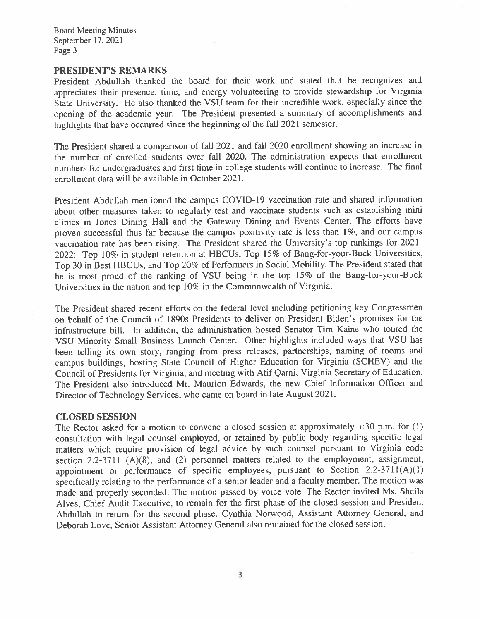#### PRESIDENT'S REMARKS

President Abdullah thanked the board for their work and stated that he recognizes and appreciates their presence, time, and energy volunteering to provide stewardship for Virginia State University. He also thanked the VSU team for their incredible work, especially since the opening of the academic year. The President presented a summary of accomplishments and highlights that have occurred since the beginning of the fall 2021 semester.

The President shared a comparison of fall 2021 and fall 2020 enrollment showing an increase in the number of enrolled students over fall 2020. The administration expects that enrollment numbers for undergraduates and first time in college students will continue to increase. The final enrollment data will be available in October 2021.

President Abdullah mentioned the campus COVID-19 vaccination rate and shared information about other measures taken to regularly test and vaccinate students such as establishing mini clinics in Jones Dining Hall and the Gateway Dining and Events Center. The efforts have proven successful thus far because the campus positivity rate is less than 1%, and our campus vaccination rate has been rising. The President shared the University's top rankings for 2021-2022: Top 10% in student retention at HBCUs, Top 15% of Bang-for-your-Buck Universities, Top 30 in Best HBCUs, and Top 20% of Performers in Social Mobility. The President stated that he is most proud of the ranking of VSU being in the top 15% of the Bang-for-your-Buck Universities in the nation and top 10% in the Commonwealth of Virginia.

The President shared recent efforts on the federal level including petitioning key Congressmen on behalf of the Council of 1890s Presidents to deliver on President Biden's promises for the infrastructure bill. In addition, the administration hosted Senator Tim Kaine who toured the VSU Minority Small Business Launch Center. Other highlights included ways that VSU has been telling its own story, ranging from press releases, partnerships, naming of rooms and campus buildings, hosting State Council of Higher Education for Virginia (SCHEV) and the Council of Presidents for Virginia, and meeting with Atif Qarni, Virginia Secretary of Education. The President also introduced Mr. Maurion Edwards, the new Chief Information Officer and Director of Technology Services, who came on board in late August 2021.

## **CLOSED SESSION**

The Rector asked for a motion to convene a closed session at approximately 1:30 p.m. for (1) consultation with legal counsel employed, or retained by public body regarding specific legal matters which require provision of legal advice by such counsel pursuant to Virginia code section 2.2-3711  $(A)(8)$ , and (2) personnel matters related to the employment, assignment, appointment or performance of specific employees, pursuant to Section  $2.2-3711(A)(1)$ specifically relating to the performance of a senior leader and a faculty member. The motion was made and properly seconded. The motion passed by voice vote. The Rector invited Ms. Sheila Alves, Chief Audit Executive, to remain for the first phase of the closed session and President Abdullah to return for the second phase. Cynthia Norwood, Assistant Attorney General, and Deborah Love, Senior Assistant Attorney General also remained for the closed session.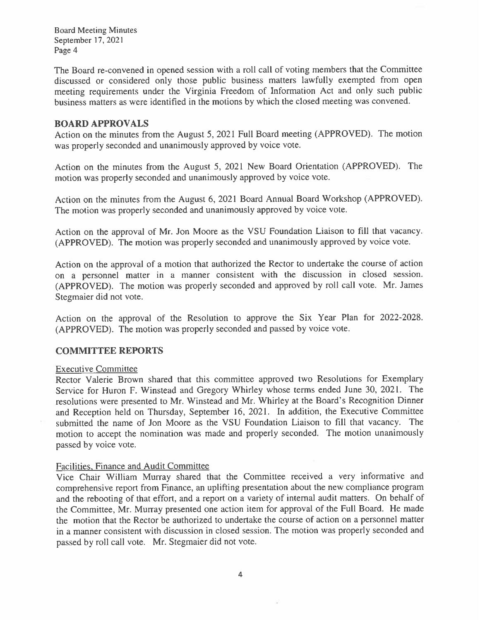The Board re-convened in opened session with a roll call of voting members that the Committee discussed or considered only those public business matters lawfully exempted from open meeting requirements under the Virginia Freedom of Information Act and only such public business matters as were identified in the motions by which the closed meeting was convened.

## **BOARD APPROVALS**

Action on the minutes from the August 5, 2021 Full Board meeting (APPROVED). The motion was properly seconded and unanimously approved by voice vote.

Action on the minutes from the August 5, 2021 New Board Orientation (APPROVED). The motion was properly seconded and unanimously approved by voice vote.

Action on the minutes from the August 6, 2021 Board Annual Board Workshop (APPROVED). The motion was properly seconded and unanimously approved by voice vote.

Action on the approval of Mr. Jon Moore as the VSU Foundation Liaison to fill that vacancy. (APPROVED). The motion was properly seconded and unanimously approved by voice vote.

Action on the approval of a motion that authorized the Rector to undertake the course of action on a personnel matter in a manner consistent with the discussion in closed session. (APPROVED). The motion was properly seconded and approved by roll call vote. Mr. James Stegmaier did not vote.

Action on the approval of the Resolution to approve the Six Year Plan for 2022-2028. (APPROVED). The motion was properly seconded and passed by voice vote.

## **COMMITTEE REPORTS**

## **Executive Committee**

Rector Valerie Brown shared that this committee approved two Resolutions for Exemplary Service for Huron F. Winstead and Gregory Whirley whose terms ended June 30, 2021. The resolutions were presented to Mr. Winstead and Mr. Whirley at the Board's Recognition Dinner and Reception held on Thursday, September 16, 2021. In addition, the Executive Committee submitted the name of Jon Moore as the VSU Foundation Liaison to fill that vacancy. The motion to accept the nomination was made and properly seconded. The motion unanimously passed by voice vote.

## Facilities, Finance and Audit Committee

Vice Chair William Murray shared that the Committee received a very informative and comprehensive report from Finance, an uplifting presentation about the new compliance program and the rebooting of that effort, and a report on a variety of internal audit matters. On behalf of the Committee, Mr. Murray presented one action item for approval of the Full Board. He made the motion that the Rector be authorized to undertake the course of action on a personnel matter in a manner consistent with discussion in closed session. The motion was properly seconded and passed by roll call vote. Mr. Stegmaier did not vote.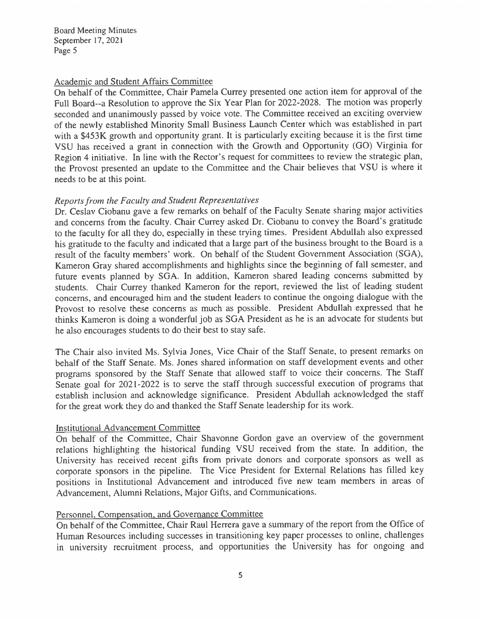## Academic and Student Affairs Committee

On behalf of the Committee, Chair Pamela Currey presented one action item for approval of the Full Board--a Resolution to approve the Six Year Plan for 2022-2028. The motion was properly seconded and unanimously passed by voice vote. The Committee received an exciting overview of the newly established Minority Small Business Launch Center which was established in part with a \$453K growth and opportunity grant. It is particularly exciting because it is the first time VSU has received a grant in connection with the Growth and Opportunity (GO) Virginia for Region 4 initiative. In line with the Rector's request for committees to review the strategic plan, the Provost presented an update to the Committee and the Chair believes that VSU is where it needs to be at this point.

# Reports from the Faculty and Student Representatives

Dr. Ceslav Ciobanu gave a few remarks on behalf of the Faculty Senate sharing major activities and concerns from the faculty. Chair Currey asked Dr. Ciobanu to convey the Board's gratitude to the faculty for all they do, especially in these trying times. President Abdullah also expressed his gratitude to the faculty and indicated that a large part of the business brought to the Board is a result of the faculty members' work. On behalf of the Student Government Association (SGA), Kameron Gray shared accomplishments and highlights since the beginning of fall semester, and future events planned by SGA. In addition, Kameron shared leading concerns submitted by students. Chair Currey thanked Kameron for the report, reviewed the list of leading student concerns, and encouraged him and the student leaders to continue the ongoing dialogue with the Provost to resolve these concerns as much as possible. President Abdullah expressed that he thinks Kameron is doing a wonderful job as SGA President as he is an advocate for students but he also encourages students to do their best to stay safe.

The Chair also invited Ms. Sylvia Jones, Vice Chair of the Staff Senate, to present remarks on behalf of the Staff Senate. Ms. Jones shared information on staff development events and other programs sponsored by the Staff Senate that allowed staff to voice their concerns. The Staff Senate goal for 2021-2022 is to serve the staff through successful execution of programs that establish inclusion and acknowledge significance. President Abdullah acknowledged the staff for the great work they do and thanked the Staff Senate leadership for its work.

# **Institutional Advancement Committee**

On behalf of the Committee, Chair Shavonne Gordon gave an overview of the government relations highlighting the historical funding VSU received from the state. In addition, the University has received recent gifts from private donors and corporate sponsors as well as corporate sponsors in the pipeline. The Vice President for External Relations has filled key positions in Institutional Advancement and introduced five new team members in areas of Advancement, Alumni Relations, Major Gifts, and Communications.

# Personnel, Compensation, and Governance Committee

On behalf of the Committee, Chair Raul Herrera gave a summary of the report from the Office of Human Resources including successes in transitioning key paper processes to online, challenges in university recruitment process, and opportunities the University has for ongoing and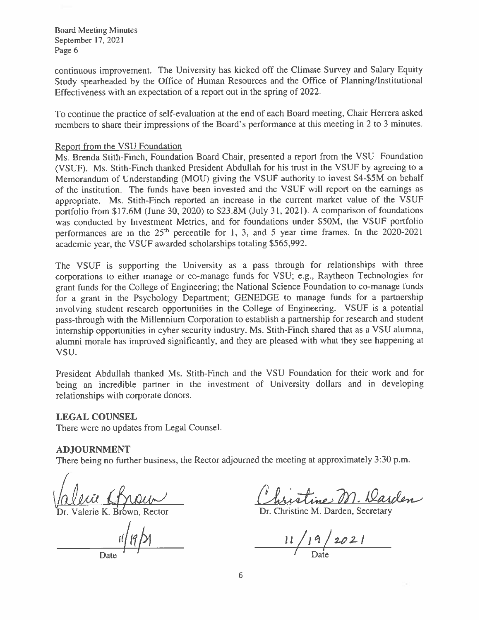continuous improvement. The University has kicked off the Climate Survey and Salary Equity Study spearheaded by the Office of Human Resources and the Office of Planning/Institutional Effectiveness with an expectation of a report out in the spring of 2022.

To continue the practice of self-evaluation at the end of each Board meeting, Chair Herrera asked members to share their impressions of the Board's performance at this meeting in 2 to 3 minutes.

## Report from the VSU Foundation

Ms. Brenda Stith-Finch, Foundation Board Chair, presented a report from the VSU Foundation (VSUF). Ms. Stith-Finch thanked President Abdullah for his trust in the VSUF by agreeing to a Memorandum of Understanding (MOU) giving the VSUF authority to invest \$4-\$5M on behalf of the institution. The funds have been invested and the VSUF will report on the earnings as appropriate. Ms. Stith-Finch reported an increase in the current market value of the VSUF portfolio from \$17.6M (June 30, 2020) to \$23.8M (July 31, 2021). A comparison of foundations was conducted by Investment Metrics, and for foundations under \$50M, the VSUF portfolio performances are in the  $25<sup>th</sup>$  percentile for 1, 3, and 5 year time frames. In the 2020-2021 academic year, the VSUF awarded scholarships totaling \$565,992.

The VSUF is supporting the University as a pass through for relationships with three corporations to either manage or co-manage funds for VSU; e.g., Raytheon Technologies for grant funds for the College of Engineering; the National Science Foundation to co-manage funds for a grant in the Psychology Department; GENEDGE to manage funds for a partnership involving student research opportunities in the College of Engineering. VSUF is a potential pass-through with the Millennium Corporation to establish a partnership for research and student internship opportunities in cyber security industry. Ms. Stith-Finch shared that as a VSU alumna, alumni morale has improved significantly, and they are pleased with what they see happening at VSU.

President Abdullah thanked Ms. Stith-Finch and the VSU Foundation for their work and for being an incredible partner in the investment of University dollars and in developing relationships with corporate donors.

# **LEGAL COUNSEL**

There were no updates from Legal Counsel.

## **ADJOURNMENT**

There being no further business, the Rector adjourned the meeting at approximately 3:30 p.m.

Valerie K. Brown. Rector

Dr. Christine M. Darden, Secretary

 $11/19/2021$